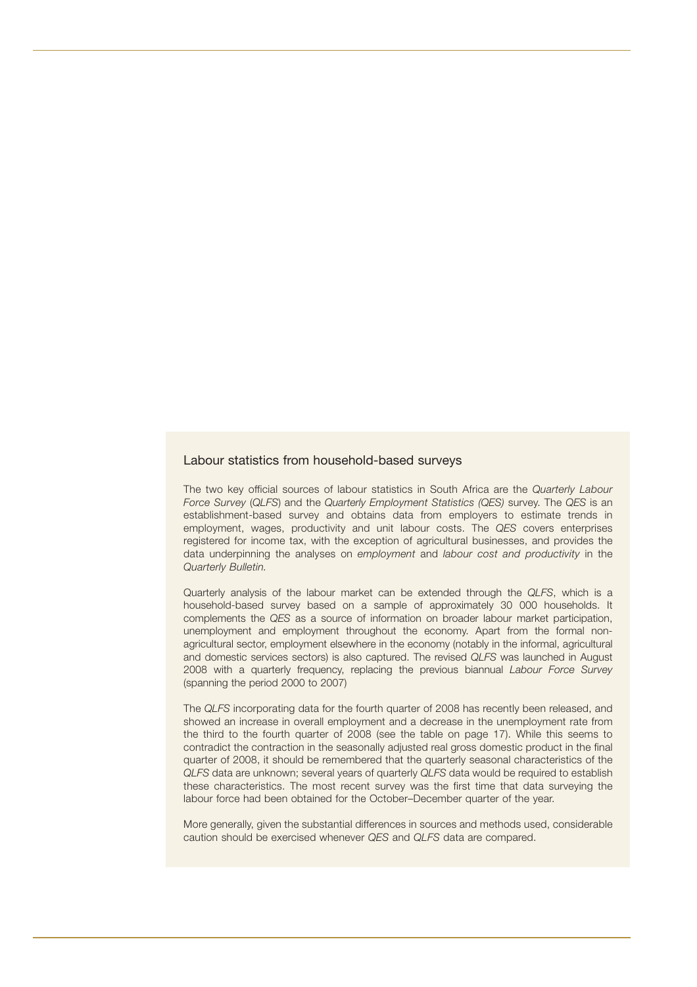## Labour statistics from household-based surveys

The two key official sources of labour statistics in South Africa are the *Quarterly Labour Force Survey* (*QLFS*) and the *Quarterly Employment Statistics (QES)* survey. The *QES* is an establishment-based survey and obtains data from employers to estimate trends in employment, wages, productivity and unit labour costs. The *QES* covers enterprises registered for income tax, with the exception of agricultural businesses, and provides the data underpinning the analyses on *employment* and *labour cost and productivity* in the *Quarterly Bulletin.*

Quarterly analysis of the labour market can be extended through the *QLFS*, which is a household-based survey based on a sample of approximately 30 000 households. It complements the *QES* as a source of information on broader labour market participation, unemployment and employment throughout the economy. Apart from the formal nonagricultural sector, employment elsewhere in the economy (notably in the informal, agricultural and domestic services sectors) is also captured. The revised *QLFS* was launched in August 2008 with a quarterly frequency, replacing the previous biannual *Labour Force Survey* (spanning the period 2000 to 2007)

The *QLFS* incorporating data for the fourth quarter of 2008 has recently been released, and showed an increase in overall employment and a decrease in the unemployment rate from the third to the fourth quarter of 2008 (see the table on page 17). While this seems to contradict the contraction in the seasonally adjusted real gross domestic product in the final quarter of 2008, it should be remembered that the quarterly seasonal characteristics of the *QLFS* data are unknown; several years of quarterly *QLFS* data would be required to establish these characteristics. The most recent survey was the first time that data surveying the labour force had been obtained for the October–December quarter of the year.

More generally, given the substantial differences in sources and methods used, considerable caution should be exercised whenever *QES* and *QLFS* data are compared.